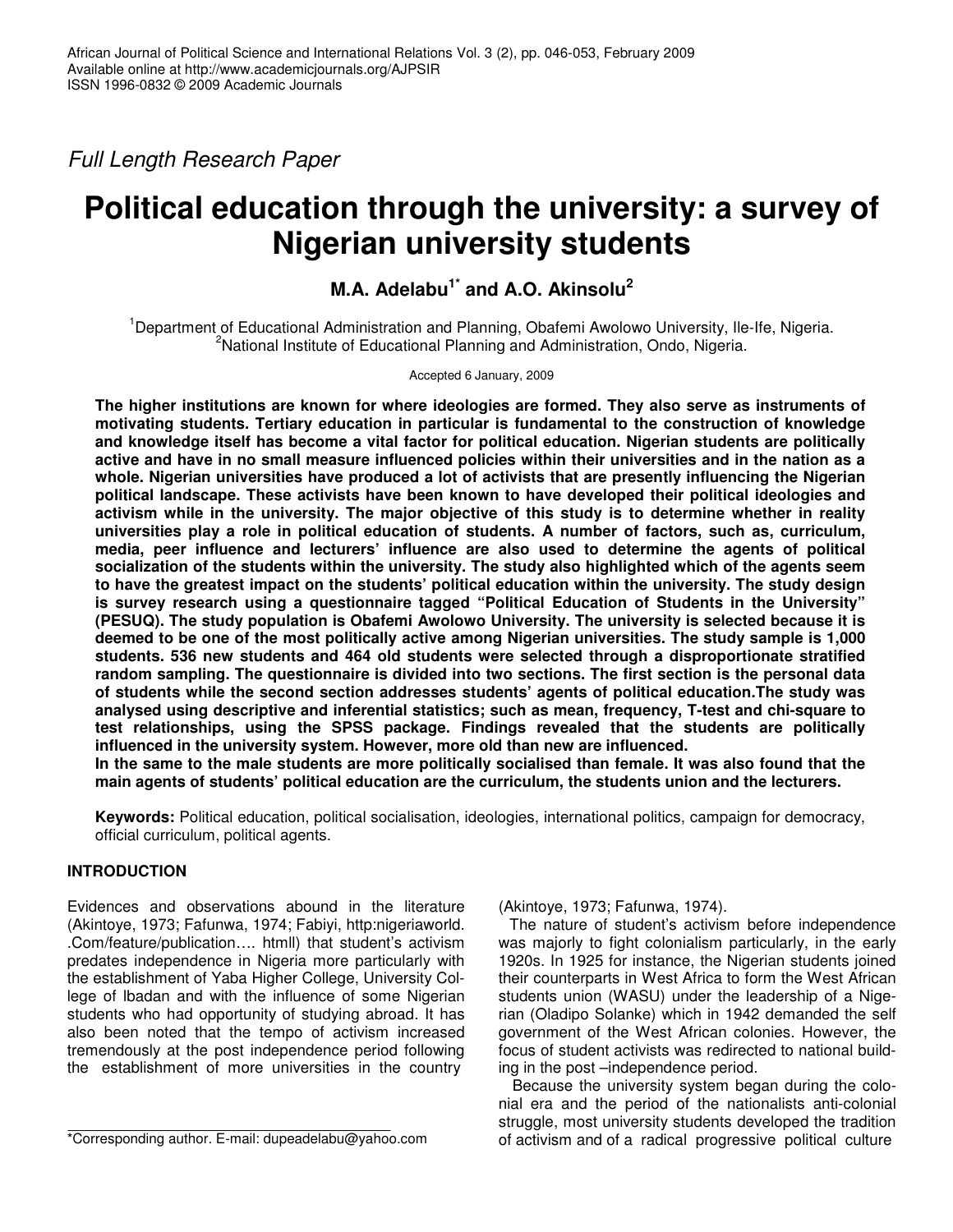*Full Length Research Paper*

# **Political education through the university: a survey of Nigerian university students**

# **M.A. Adelabu 1\* and A.O. Akinsolu 2**

<sup>1</sup>Department of Educational Administration and Planning, Obafemi Awolowo University, Ile-Ife, Nigeria. <sup>2</sup>National Institute of Educational Planning and Administration, Ondo, Nigeria.

Accepted 6 January, 2009

**The higher institutions are known for where ideologies are formed. They also serve as instruments of motivating students. Tertiary education in particular is fundamental to the construction of knowledge and knowledge itself has become a vital factor for political education. Nigerian students are politically** active and have in no small measure influenced policies within their universities and in the nation as a **whole. Nigerian universities have produced a lot of activists that are presently influencing the Nigerian political landscape. These activists have been known to have developed their political ideologies and activism while in the university. The major objective of this study is to determine whether in reality universities play a role in political education of students. A number of factors, such as, curriculum, media, peer influence and lecturers' influence are also used to determine the agents of political socialization of the students within the university. The study also highlighted which of the agents seem to have the greatest impact on the students' political education within the university. The study design is survey research using a questionnaire tagged "Political Education of Students in the University" (PESUQ). The study population is Obafemi Awolowo University. The university is selected because it is deemed to be one of the most politically active among Nigerian universities. The study sample is 1,000 students. 536 new students and 464 old students were selected through a disproportionate stratified random sampling. The questionnaire is divided into two sections. The first section is the personal data of students while the second section addresses students' agents of political education.The study was analysed using descriptive and inferential statistics; such as mean, frequency, T-test and chi-square to test relationships, using the SPSS package. Findings revealed that the students are politically influenced in the university system. However, more old than new are influenced.** In the same to the male students are more politically socialised than female. It was also found that the

**main agents of students' political education are the curriculum, the students union and the lecturers.**

**Keywords:** Political education, political socialisation, ideologies, international politics, campaign for democracy, official curriculum, political agents.

## **INTRODUCTION**

Evidences and observations abound in the literature (Akintoye, 1973; Fafunwa, 1974; Fabiyi, http:nigeriaworld. .Com/feature/publication…. htmll) that student's activism predates independence in Nigeria more particularly with the establishment of Yaba Higher College, University College of lbadan and with the influence of some Nigerian students who had opportunity of studying abroad. It has also been noted that the tempo of activism increased tremendously at the post independence period following the establishment of more universities in the country

\*Corresponding author. E-mail: dupeadelabu@yahoo.com

(Akintoye, 1973; Fafunwa, 1974).

The nature of student's activism before independence was majorly to fight colonialism particularly, in the early 1920s. In 1925 for instance, the Nigerian students joined their counterparts in West Africa to form the West African students union (WASU) under the leadership of a Nigerian (Oladipo Solanke) which in 1942 demanded the self government of the West African colonies. However, the focus of student activists was redirected to national building in the post –independence period.

Because the university system began during the colonial era and the period of the nationalists anti-colonial struggle, most university students developed the tradition of activism and of a radical progressive political culture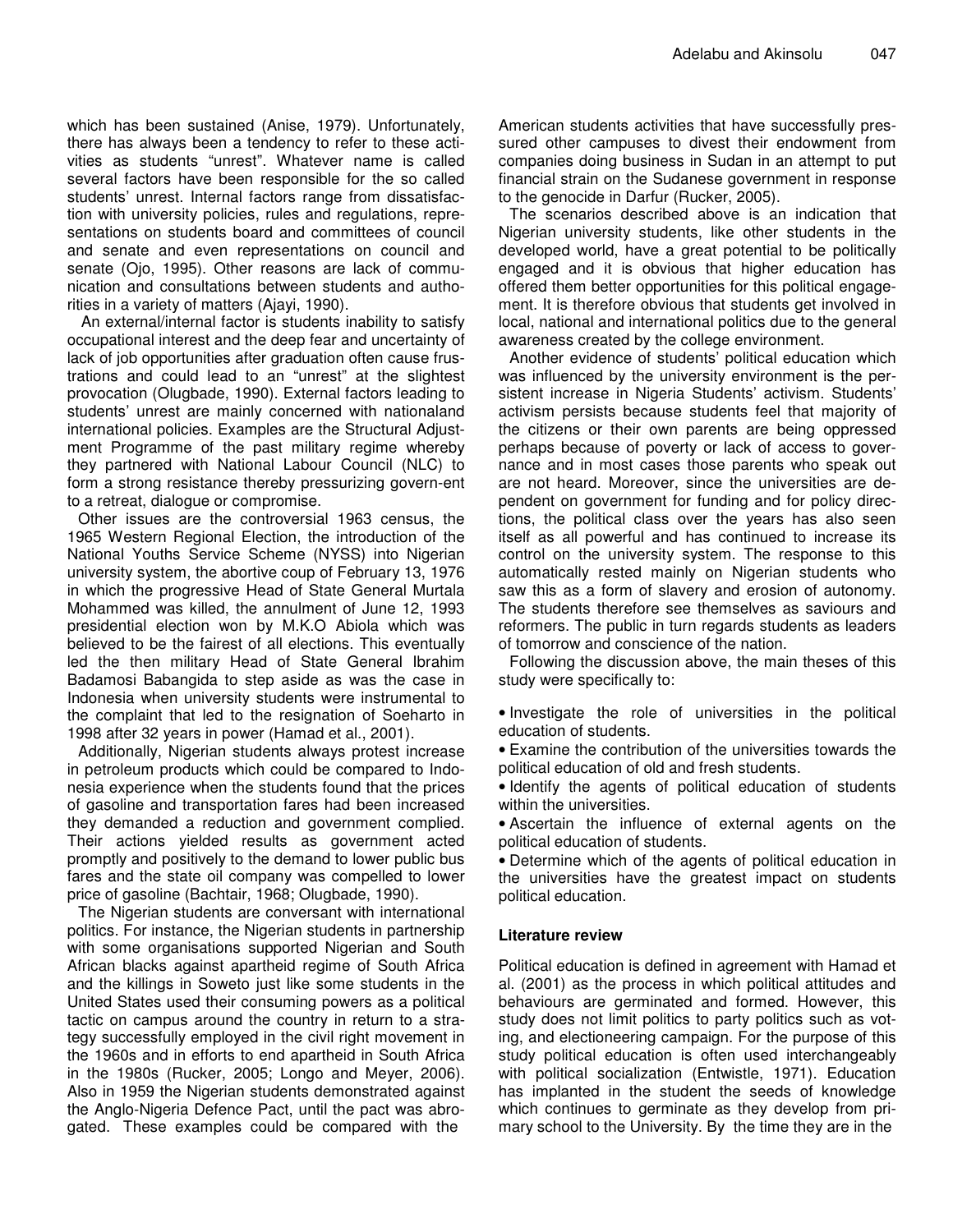which has been sustained (Anise, 1979). Unfortunately, there has always been a tendency to refer to these activities as students "unrest". Whatever name is called several factors have been responsible for the so called students' unrest. Internal factors range from dissatisfaction with university policies, rules and regulations, representations on students board and committees of council and senate and even representations on council and senate (Ojo, 1995). Other reasons are lack of communication and consultations between students and authorities in a variety of matters (Ajayi, 1990).

An external/internal factor is students inability to satisfy occupational interest and the deep fear and uncertainty of lack of job opportunities after graduation often cause frustrations and could lead to an "unrest" at the slightest provocation (Olugbade, 1990). External factors leading to students' unrest are mainly concerned with nationaland international policies. Examples are the Structural Adjustment Programme of the past military regime whereby they partnered with National Labour Council (NLC) to form a strong resistance thereby pressurizing govern-ent to a retreat, dialogue or compromise.

Other issues are the controversial 1963 census, the 1965 Western Regional Election, the introduction of the National Youths Service Scheme (NYSS) into Nigerian university system, the abortive coup of February 13, 1976 in which the progressive Head of State General Murtala Mohammed was killed, the annulment of June 12, 1993 presidential election won by M.K.O Abiola which was believed to be the fairest of all elections. This eventually led the then military Head of State General Ibrahim Badamosi Babangida to step aside as was the case in Indonesia when university students were instrumental to the complaint that led to the resignation of Soeharto in 1998 after 32 years in power (Hamad et al., 2001).

Additionally, Nigerian students always protest increase in petroleum products which could be compared to Indonesia experience when the students found that the prices of gasoline and transportation fares had been increased they demanded a reduction and government complied. Their actions yielded results as government acted promptly and positively to the demand to lower public bus fares and the state oil company was compelled to lower price of gasoline (Bachtair, 1968; Olugbade, 1990).

The Nigerian students are conversant with international politics. For instance, the Nigerian students in partnership with some organisations supported Nigerian and South African blacks against apartheid regime of South Africa and the killings in Soweto just like some students in the United States used their consuming powers as a political tactic on campus around the country in return to a strategy successfully employed in the civil right movement in the 1960s and in efforts to end apartheid in South Africa in the 1980s (Rucker, 2005; Longo and Meyer, 2006). Also in 1959 the Nigerian students demonstrated against the Anglo-Nigeria Defence Pact, until the pact was abrogated. These examples could be compared with the

American students activities that have successfully pressured other campuses to divest their endowment from companies doing business in Sudan in an attempt to put financial strain on the Sudanese government in response to the genocide in Darfur (Rucker, 2005).

The scenarios described above is an indication that Nigerian university students, like other students in the developed world, have a great potential to be politically engaged and it is obvious that higher education has offered them better opportunities for this political engagement. It is therefore obvious that students get involved in local, national and international politics due to the general awareness created by the college environment.

Another evidence of students' political education which was influenced by the university environment is the persistent increase in Nigeria Students' activism. Students' activism persists because students feel that majority of the citizens or their own parents are being oppressed perhaps because of poverty or lack of access to governance and in most cases those parents who speak out are not heard. Moreover, since the universities are dependent on government for funding and for policy directions, the political class over the years has also seen itself as all powerful and has continued to increase its control on the university system. The response to this automatically rested mainly on Nigerian students who saw this as a form of slavery and erosion of autonomy. The students therefore see themselves as saviours and reformers. The public in turn regards students as leaders of tomorrow and conscience of the nation.

Following the discussion above, the main theses of this study were specifically to:

• Investigate the role of universities in the political education of students.

• Examine the contribution of the universities towards the political education of old and fresh students.

• Identify the agents of political education of students within the universities.

• Ascertain the influence of external agents on the political education of students.

• Determine which of the agents of political education in the universities have the greatest impact on students political education.

#### **Literature review**

Political education is defined in agreement with Hamad et al. (2001) as the process in which political attitudes and behaviours are germinated and formed. However, this study does not limit politics to party politics such as voting, and electioneering campaign. For the purpose of this study political education is often used interchangeably with political socialization (Entwistle, 1971). Education has implanted in the student the seeds of knowledge which continues to germinate as they develop from primary school to the University. By the time they are in the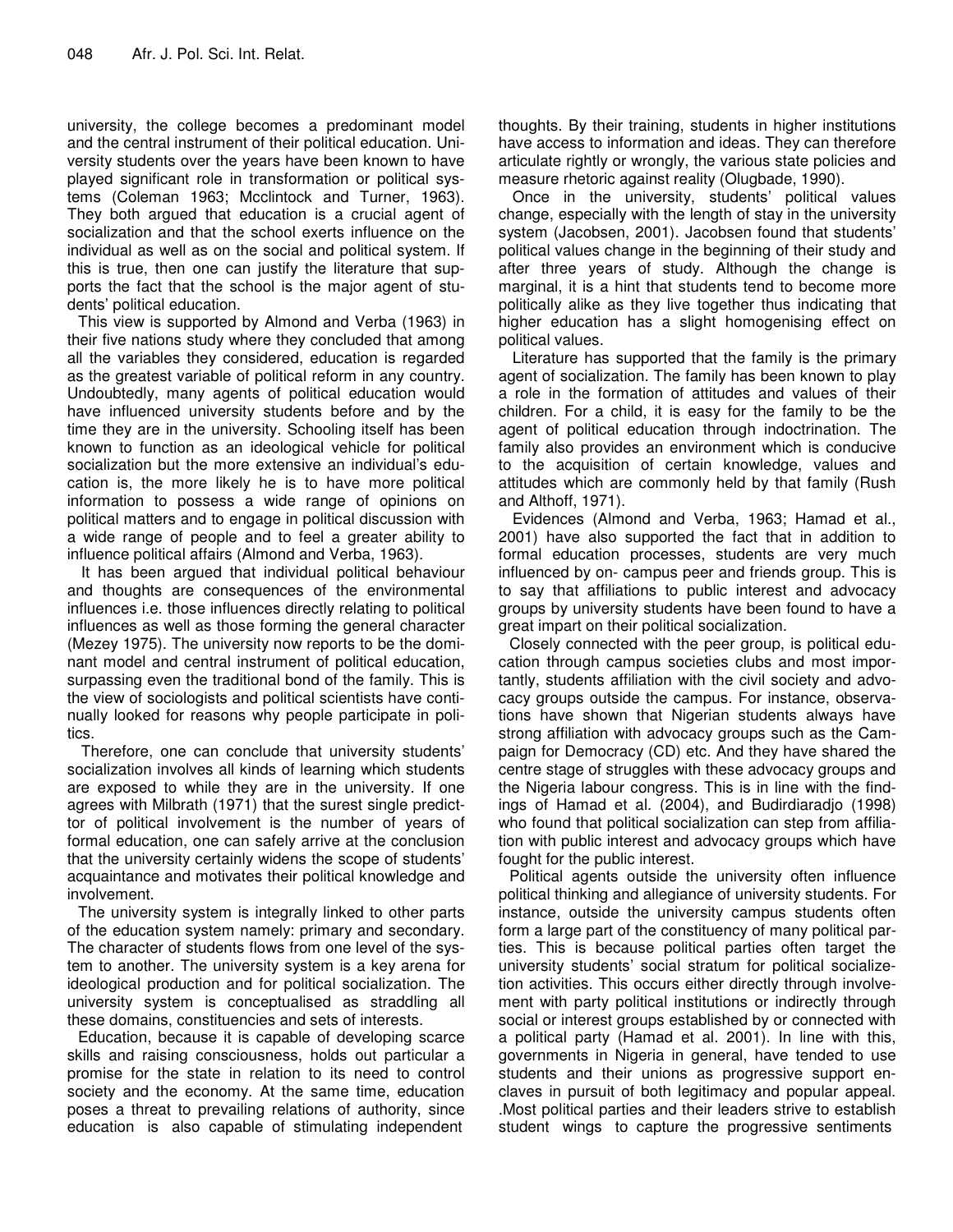university, the college becomes a predominant model and the central instrument of their political education. University students over the years have been known to have played significant role in transformation or political systems (Coleman 1963; Mcclintock and Turner, 1963). They both argued that education is a crucial agent of socialization and that the school exerts influence on the individual as well as on the social and political system. If this is true, then one can justify the literature that supports the fact that the school is the major agent of students' political education.

This view is supported by Almond and Verba (1963) in their five nations study where they concluded that among all the variables they considered, education is regarded as the greatest variable of political reform in any country. Undoubtedly, many agents of political education would have influenced university students before and by the time they are in the university. Schooling itself has been known to function as an ideological vehicle for political socialization but the more extensive an individual's education is, the more likely he is to have more political information to possess a wide range of opinions on political matters and to engage in political discussion with a wide range of people and to feel a greater ability to influence political affairs (Almond and Verba, 1963).

It has been argued that individual political behaviour and thoughts are consequences of the environmental influences i.e. those influences directly relating to political influences as well as those forming the general character (Mezey 1975). The university now reports to be the dominant model and central instrument of political education, surpassing even the traditional bond of the family. This is the view of sociologists and political scientists have continually looked for reasons why people participate in politics.

Therefore, one can conclude that university students' socialization involves all kinds of learning which students are exposed to while they are in the university. If one agrees with Milbrath (1971) that the surest single predicttor of political involvement is the number of years of formal education, one can safely arrive at the conclusion that the university certainly widens the scope of students' acquaintance and motivates their political knowledge and involvement.

The university system is integrally linked to other parts of the education system namely: primary and secondary. The character of students flows from one level of the system to another. The university system is a key arena for ideological production and for political socialization. The university system is conceptualised as straddling all these domains, constituencies and sets of interests.

Education, because it is capable of developing scarce skills and raising consciousness, holds out particular a promise for the state in relation to its need to control society and the economy. At the same time, education poses a threat to prevailing relations of authority, since education is also capable of stimulating independent

thoughts. By their training, students in higher institutions have access to information and ideas. They can therefore articulate rightly or wrongly, the various state policies and measure rhetoric against reality (Olugbade, 1990).

Once in the university, students' political values change, especially with the length of stay in the university system (Jacobsen, 2001). Jacobsen found that students' political values change in the beginning of their study and after three years of study. Although the change is marginal, it is a hint that students tend to become more politically alike as they live together thus indicating that higher education has a slight homogenising effect on political values.

Literature has supported that the family is the primary agent of socialization. The family has been known to play a role in the formation of attitudes and values of their children. For a child, it is easy for the family to be the agent of political education through indoctrination. The family also provides an environment which is conducive to the acquisition of certain knowledge, values and attitudes which are commonly held by that family (Rush and Althoff, 1971).

Evidences (Almond and Verba, 1963; Hamad et al., 2001) have also supported the fact that in addition to formal education processes, students are very much influenced by on- campus peer and friends group. This is to say that affiliations to public interest and advocacy groups by university students have been found to have a great impart on their political socialization.

Closely connected with the peer group, is political education through campus societies clubs and most importantly, students affiliation with the civil society and advocacy groups outside the campus. For instance, observations have shown that Nigerian students always have strong affiliation with advocacy groups such as the Campaign for Democracy (CD) etc. And they have shared the centre stage of struggles with these advocacy groups and the Nigeria labour congress. This is in line with the findings of Hamad et al. (2004), and Budirdiaradjo (1998) who found that political socialization can step from affiliation with public interest and advocacy groups which have fought for the public interest.

Political agents outside the university often influence political thinking and allegiance of university students. For instance, outside the university campus students often form a large part of the constituency of many political parties. This is because political parties often target the university students' social stratum for political socializetion activities. This occurs either directly through involvement with party political institutions or indirectly through social or interest groups established by or connected with a political party (Hamad et al. 2001). In line with this, governments in Nigeria in general, have tended to use students and their unions as progressive support enclaves in pursuit of both legitimacy and popular appeal. .Most political parties and their leaders strive to establish student wings to capture the progressive sentiments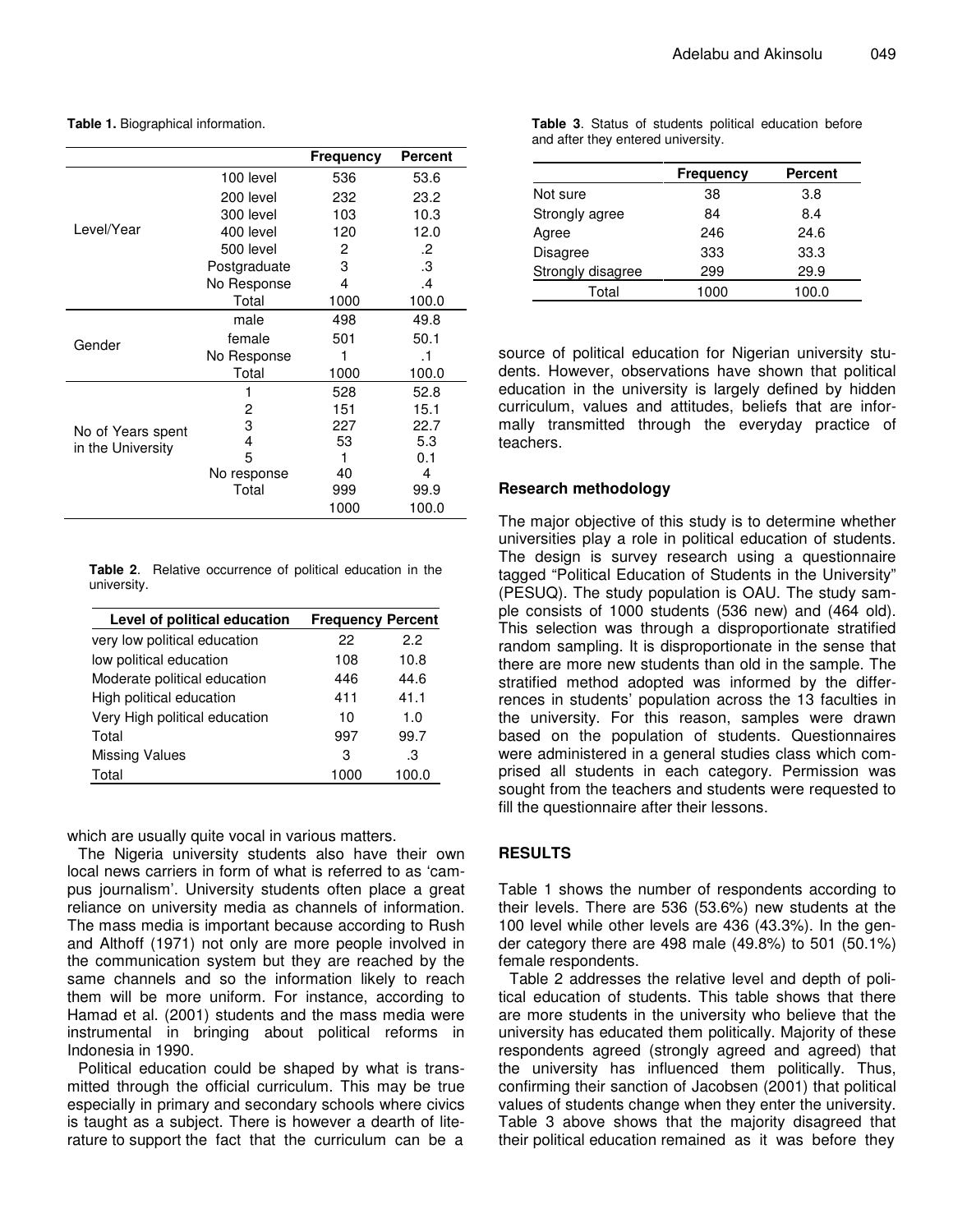**Table 1.** Biographical information.

|                   |              | <b>Frequency</b> | <b>Percent</b> |
|-------------------|--------------|------------------|----------------|
|                   | 100 level    | 536              | 53.6           |
|                   | 200 level    | 232              | 23.2           |
|                   | 300 level    | 103              | 10.3           |
| Level/Year        | 400 level    | 120              | 12.0           |
|                   | 500 level    | 2                | .2             |
|                   | Postgraduate | 3                | .3             |
|                   | No Response  | 4                | $\cdot$        |
|                   | Total        | 1000             | 100.0          |
|                   | male         | 498              | 49.8           |
| Gender            | female       | 501              | 50.1           |
|                   | No Response  | 1                | .1             |
|                   | Total        | 1000             | 100.0          |
|                   |              | 528              | 52.8           |
|                   | 2            | 151              | 15.1           |
| No of Years spent | 3            | 227              | 22.7           |
| in the University | 4            | 53               | 5.3            |
|                   | 5            | 1                | 0.1            |
|                   | No response  | 40               | 4              |
|                   | Total        | 999              | 99.9           |
|                   |              | 1000             | 100.0          |

**Table 2**. Relative occurrence of political education in the university.

| Level of political education  | <b>Frequency Percent</b> |       |
|-------------------------------|--------------------------|-------|
| very low political education  | 22                       | 2.2   |
| low political education       | 108                      | 10.8  |
| Moderate political education  | 446                      | 44.6  |
| High political education      | 411                      | 41.1  |
| Very High political education | 10                       | 1.0   |
| Total                         | 997                      | 99.7  |
| <b>Missing Values</b>         | 3                        | .3    |
| Total                         | 1000                     | 100.0 |

which are usually quite vocal in various matters.

The Nigeria university students also have their own local news carriers in form of what is referred to as 'campus journalism'. University students often place a great reliance on university media as channels of information. The mass media is important because according to Rush and Althoff (1971) not only are more people involved in the communication system but they are reached by the same channels and so the information likely to reach them will be more uniform. For instance, according to Hamad et al. (2001) students and the mass media were instrumental in bringing about political reforms in Indonesia in 1990.

Political education could be shaped by what is transmitted through the official curriculum. This may be true especially in primary and secondary schools where civics is taught as a subject. There is however a dearth of literature to support the fact that the curriculum can be a **Table 3**. Status of students political education before and after they entered university.

|                   | Frequency | <b>Percent</b> |
|-------------------|-----------|----------------|
| Not sure          | 38        | 3.8            |
| Strongly agree    | 84        | 8.4            |
| Agree             | 246       | 24.6           |
| Disagree          | 333       | 33.3           |
| Strongly disagree | 299       | 29.9           |
| Total             | 1000      | 100.0          |

source of political education for Nigerian university students. However, observations have shown that political education in the university is largely defined by hidden curriculum, values and attitudes, beliefs that are informally transmitted through the everyday practice of teachers.

#### **Research methodology**

The major objective of this study is to determine whether universities play a role in political education of students. The design is survey research using a questionnaire tagged "Political Education of Students in the University" (PESUQ). The study population is OAU. The study sample consists of 1000 students (536 new) and (464 old). This selection was through a disproportionate stratified random sampling. It is disproportionate in the sense that there are more new students than old in the sample. The stratified method adopted was informed by the differrences in students' population across the 13 faculties in the university. For this reason, samples were drawn based on the population of students. Questionnaires were administered in a general studies class which comprised all students in each category. Permission was sought from the teachers and students were requested to fill the questionnaire after their lessons.

#### **RESULTS**

Table 1 shows the number of respondents according to their levels. There are 536 (53.6%) new students at the 100 level while other levels are 436 (43.3%). In the gender category there are 498 male (49.8%) to 501 (50.1%) female respondents.

Table 2 addresses the relative level and depth of political education of students. This table shows that there are more students in the university who believe that the university has educated them politically. Majority of these respondents agreed (strongly agreed and agreed) that the university has influenced them politically. Thus, confirming their sanction of Jacobsen (2001) that political values of students change when they enter the university. Table 3 above shows that the majority disagreed that their political education remained as it was before they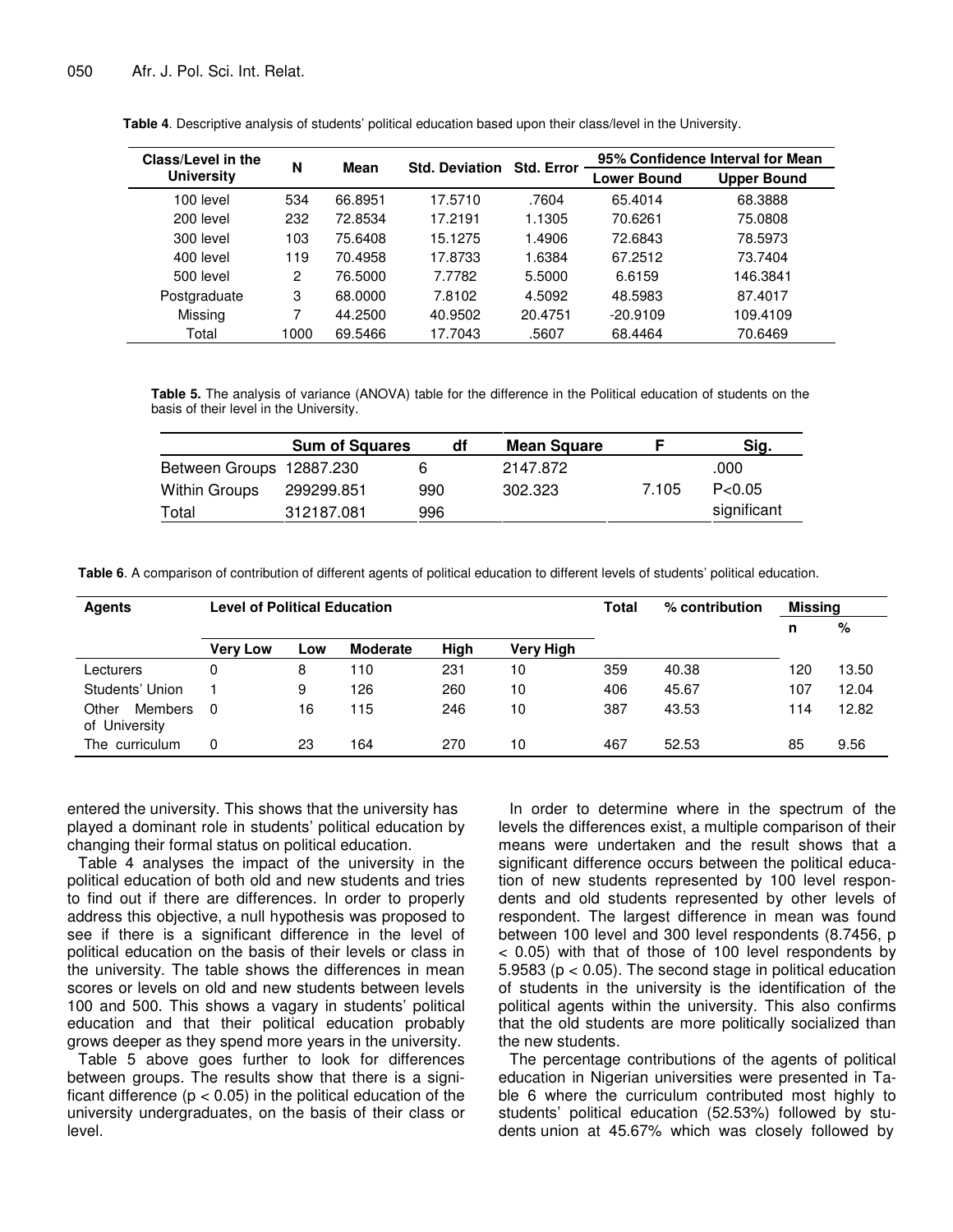| Class/Level in the | N    | Mean    | <b>Std. Deviation</b> | <b>Std. Error</b> | 95% Confidence Interval for Mean |                    |  |
|--------------------|------|---------|-----------------------|-------------------|----------------------------------|--------------------|--|
| <b>University</b>  |      |         |                       |                   | <b>Lower Bound</b>               | <b>Upper Bound</b> |  |
| 100 level          | 534  | 66.8951 | 17.5710               | .7604             | 65.4014                          | 68.3888            |  |
| 200 level          | 232  | 72.8534 | 17.2191               | 1.1305            | 70.6261                          | 75,0808            |  |
| 300 level          | 103  | 75.6408 | 15.1275               | 1.4906            | 72.6843                          | 78.5973            |  |
| 400 level          | 119  | 70.4958 | 17.8733               | 1.6384            | 67.2512                          | 73.7404            |  |
| 500 level          | 2    | 76.5000 | 7.7782                | 5.5000            | 6.6159                           | 146.3841           |  |
| Postgraduate       | 3    | 68,0000 | 7.8102                | 4.5092            | 48.5983                          | 87.4017            |  |
| Missing            | 7    | 44.2500 | 40.9502               | 20.4751           | $-20.9109$                       | 109.4109           |  |
| Total              | 1000 | 69.5466 | 17.7043               | .5607             | 68.4464                          | 70.6469            |  |

**Table 4**. Descriptive analysis of students' political education based upon their class/level in the University.

**Table 5.** The analysis of variance (ANOVA) table for the difference in the Political education of students on the basis of their level in the University.

|                          | <b>Sum of Squares</b> | df  | Mean Square |       | Sig.        |
|--------------------------|-----------------------|-----|-------------|-------|-------------|
| Between Groups 12887.230 |                       |     | 2147.872    |       | .000        |
| Within Groups            | 299299.851            | 990 | 302.323     | 7.105 | P < 0.05    |
| Total                    | 312187.081            | 996 |             |       | significant |

**Table 6**. A comparison of contribution of different agents of political education to different levels of students' political education.

| <b>Agents</b>                     | <b>Level of Political Education</b> |     |                 | Total | % contribution   | Missing |       |     |       |
|-----------------------------------|-------------------------------------|-----|-----------------|-------|------------------|---------|-------|-----|-------|
|                                   |                                     |     |                 |       |                  |         | n     | %   |       |
|                                   | <b>Very Low</b>                     | Low | <b>Moderate</b> | High  | <b>Very High</b> |         |       |     |       |
| Lecturers                         | 0                                   | 8   | 110             | 231   | 10               | 359     | 40.38 | 120 | 13.50 |
| Students' Union                   |                                     | 9   | 126             | 260   | 10               | 406     | 45.67 | 107 | 12.04 |
| Other<br>Members<br>of University | - 0                                 | 16  | 115             | 246   | 10               | 387     | 43.53 | 114 | 12.82 |
| The curriculum                    | $\Omega$                            | 23  | 164             | 270   | 10               | 467     | 52.53 | 85  | 9.56  |

entered the university. This shows that the university has played a dominant role in students' political education by changing their formal status on political education.

Table 4 analyses the impact of the university in the political education of both old and new students and tries to find out if there are differences. In order to properly address this objective, a null hypothesis was proposed to see if there is a significant difference in the level of political education on the basis of their levels or class in the university. The table shows the differences in mean scores or levels on old and new students between levels 100 and 500. This shows a vagary in students' political education and that their political education probably grows deeper as they spend more years in the university.

Table 5 above goes further to look for differences between groups. The results show that there is a significant difference ( $p < 0.05$ ) in the political education of the university undergraduates, on the basis of their class or level.

In order to determine where in the spectrum of the levels the differences exist, a multiple comparison of their means were undertaken and the result shows that a significant difference occurs between the political education of new students represented by 100 level respondents and old students represented by other levels of respondent. The largest difference in mean was found between 100 level and 300 level respondents (8.7456, p < 0.05) with that of those of 100 level respondents by 5.9583 (p < 0.05). The second stage in political education of students in the university is the identification of the political agents within the university. This also confirms that the old students are more politically socialized than the new students.

The percentage contributions of the agents of political education in Nigerian universities were presented in Table 6 where the curriculum contributed most highly to students' political education (52.53%) followed by students union at 45.67% which was closely followed by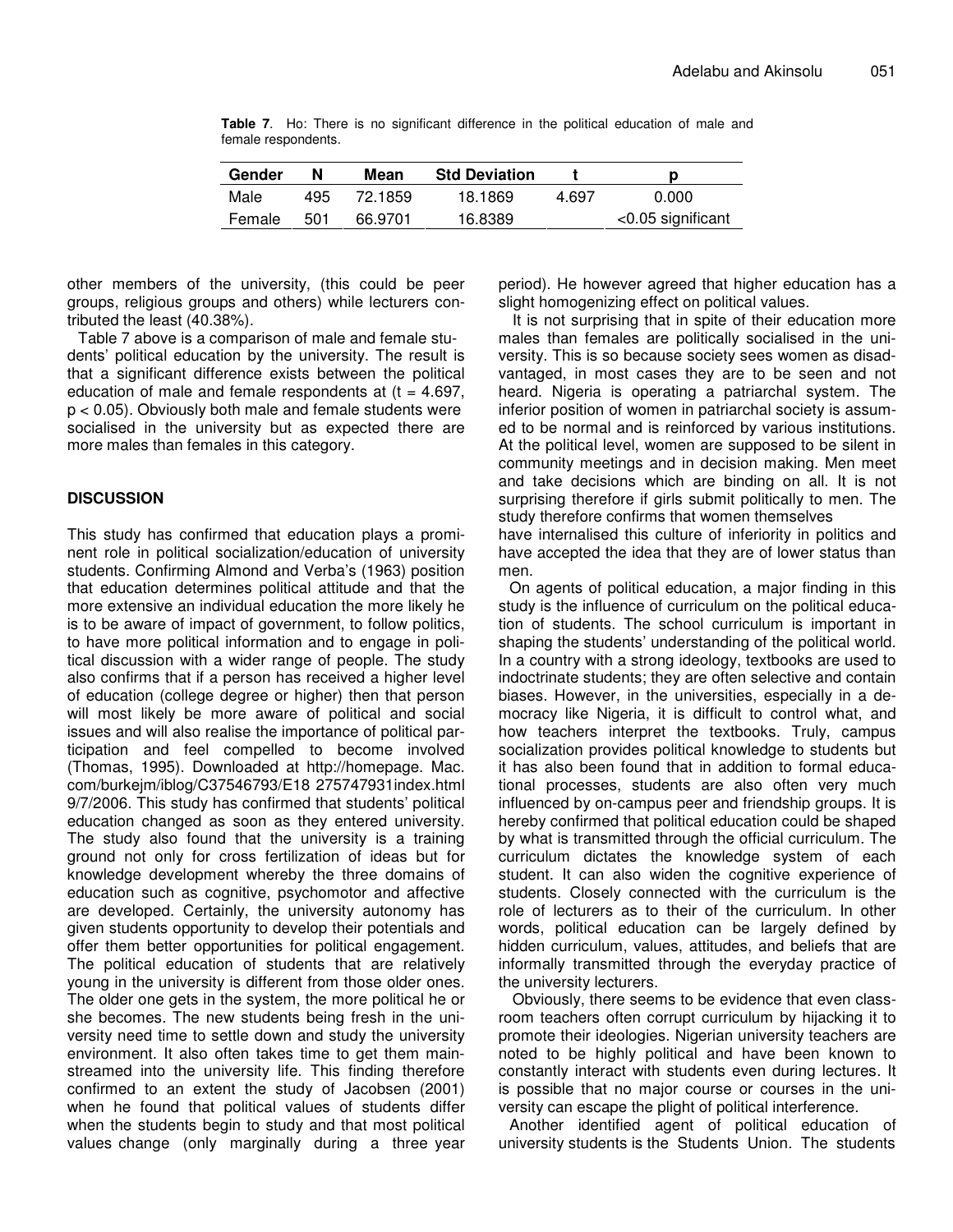| Gender |     | Mean    | <b>Std Deviation</b> |       |                      |
|--------|-----|---------|----------------------|-------|----------------------|
| Male   | 495 | 72.1859 | 18.1869              | 4.697 | 0.000                |
| Female | 501 | 66.9701 | 16.8389              |       | $<$ 0.05 significant |

**Table 7**. Ho: There is no significant difference in the political education of male and female respondents.

other members of the university, (this could be peer groups, religious groups and others) while lecturers contributed the least (40.38%).

Table 7 above is a comparison of male and female students' political education by the university. The result is that a significant difference exists between the political education of male and female respondents at  $(t = 4.697)$ , p < 0.05). Obviously both male and female students were socialised in the university but as expected there are more males than females in this category.

### **DISCUSSION**

This study has confirmed that education plays a prominent role in political socialization/education of university students. Confirming Almond and Verba's (1963) position that education determines political attitude and that the more extensive an individual education the more likely he is to be aware of impact of government, to follow politics, to have more political information and to engage in political discussion with a wider range of people. The study also confirms that if a person has received a higher level of education (college degree or higher) then that person will most likely be more aware of political and social issues and will also realise the importance of political participation and feel compelled to become involved (Thomas, 1995). Downloaded at http://homepage. Mac. com/burkejm/iblog/C37546793/E18 275747931index.html 9/7/2006. This study has confirmed that students' political education changed as soon as they entered university. The study also found that the university is a training ground not only for cross fertilization of ideas but for knowledge development whereby the three domains of education such as cognitive, psychomotor and affective are developed. Certainly, the university autonomy has given students opportunity to develop their potentials and offer them better opportunities for political engagement. The political education of students that are relatively young in the university is different from those older ones. The older one gets in the system, the more political he or she becomes. The new students being fresh in the university need time to settle down and study the university environment. It also often takes time to get them mainstreamed into the university life. This finding therefore confirmed to an extent the study of Jacobsen (2001) when he found that political values of students differ when the students begin to study and that most political values change (only marginally during a three year

period). He however agreed that higher education has a slight homogenizing effect on political values.

It is not surprising that in spite of their education more males than females are politically socialised in the university. This is so because society sees women as disadvantaged, in most cases they are to be seen and not heard. Nigeria is operating a patriarchal system. The inferior position of women in patriarchal society is assumed to be normal and is reinforced by various institutions. At the political level, women are supposed to be silent in community meetings and in decision making. Men meet and take decisions which are binding on all. It is not surprising therefore if girls submit politically to men. The study therefore confirms that women themselves

have internalised this culture of inferiority in politics and have accepted the idea that they are of lower status than men.

On agents of political education, a major finding in this study is the influence of curriculum on the political education of students. The school curriculum is important in shaping the students' understanding of the political world. In a country with a strong ideology, textbooks are used to indoctrinate students; they are often selective and contain biases. However, in the universities, especially in a democracy like Nigeria, it is difficult to control what, and how teachers interpret the textbooks. Truly, campus socialization provides political knowledge to students but it has also been found that in addition to formal educational processes, students are also often very much influenced by on-campus peer and friendship groups. It is hereby confirmed that political education could be shaped by what is transmitted through the official curriculum. The curriculum dictates the knowledge system of each student. It can also widen the cognitive experience of students. Closely connected with the curriculum is the role of lecturers as to their of the curriculum. In other words, political education can be largely defined by hidden curriculum, values, attitudes, and beliefs that are informally transmitted through the everyday practice of the university lecturers.

Obviously, there seems to be evidence that even classroom teachers often corrupt curriculum by hijacking it to promote their ideologies. Nigerian university teachers are noted to be highly political and have been known to constantly interact with students even during lectures. It is possible that no major course or courses in the university can escape the plight of political interference.

Another identified agent of political education of university students is the Students Union. The students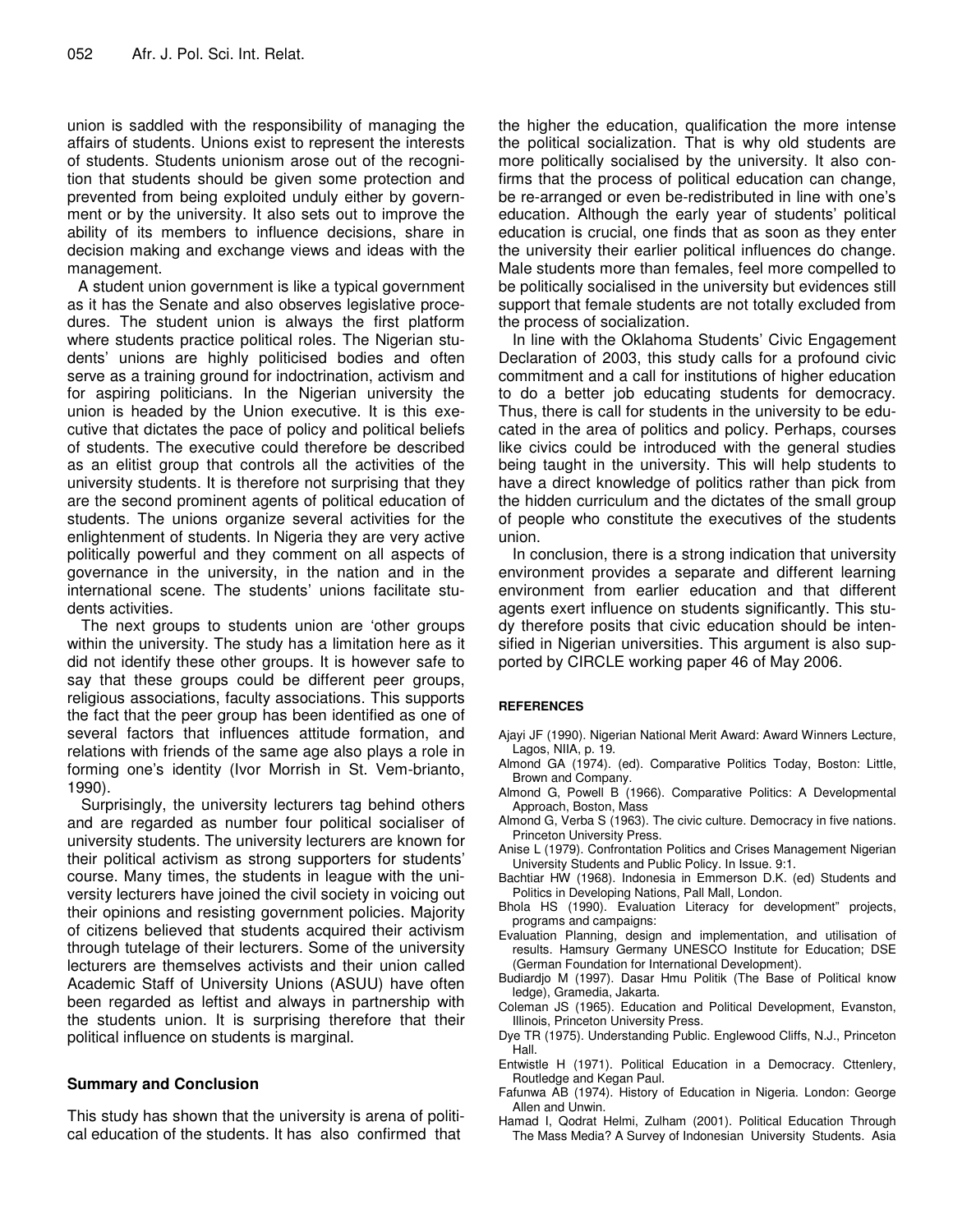union is saddled with the responsibility of managing the affairs of students. Unions exist to represent the interests of students. Students unionism arose out of the recognition that students should be given some protection and prevented from being exploited unduly either by government or by the university. It also sets out to improve the ability of its members to influence decisions, share in decision making and exchange views and ideas with the management.

A student union government is like a typical government as it has the Senate and also observes legislative procedures. The student union is always the first platform where students practice political roles. The Nigerian students' unions are highly politicised bodies and often serve as a training ground for indoctrination, activism and for aspiring politicians. In the Nigerian university the union is headed by the Union executive. It is this executive that dictates the pace of policy and political beliefs of students. The executive could therefore be described as an elitist group that controls all the activities of the university students. It is therefore not surprising that they are the second prominent agents of political education of students. The unions organize several activities for the enlightenment of students. In Nigeria they are very active politically powerful and they comment on all aspects of governance in the university, in the nation and in the international scene. The students' unions facilitate students activities.

The next groups to students union are 'other groups within the university. The study has a limitation here as it did not identify these other groups. It is however safe to say that these groups could be different peer groups, religious associations, faculty associations. This supports the fact that the peer group has been identified as one of several factors that influences attitude formation, and relations with friends of the same age also plays a role in forming one's identity (Ivor Morrish in St. Vem-brianto, 1990).

Surprisingly, the university lecturers tag behind others and are regarded as number four political socialiser of university students. The university lecturers are known for their political activism as strong supporters for students' course. Many times, the students in league with the university lecturers have joined the civil society in voicing out their opinions and resisting government policies. Majority of citizens believed that students acquired their activism through tutelage of their lecturers. Some of the university lecturers are themselves activists and their union called Academic Staff of University Unions (ASUU) have often been regarded as leftist and always in partnership with the students union. It is surprising therefore that their political influence on students is marginal.

#### **Summary and Conclusion**

This study has shown that the university is arena of political education of the students. It has also confirmed that

the higher the education, qualification the more intense the political socialization. That is why old students are more politically socialised by the university. It also confirms that the process of political education can change, be re-arranged or even be-redistributed in line with one's education. Although the early year of students' political education is crucial, one finds that as soon as they enter the university their earlier political influences do change. Male students more than females, feel more compelled to be politically socialised in the university but evidences still support that female students are not totally excluded from the process of socialization.

In line with the Oklahoma Students' Civic Engagement Declaration of 2003, this study calls for a profound civic commitment and a call for institutions of higher education to do a better job educating students for democracy. Thus, there is call for students in the university to be educated in the area of politics and policy. Perhaps, courses like civics could be introduced with the general studies being taught in the university. This will help students to have a direct knowledge of politics rather than pick from the hidden curriculum and the dictates of the small group of people who constitute the executives of the students union.

In conclusion, there is a strong indication that university environment provides a separate and different learning environment from earlier education and that different agents exert influence on students significantly. This study therefore posits that civic education should be intensified in Nigerian universities. This argument is also supported by CIRCLE working paper 46 of May 2006.

#### **REFERENCES**

- Ajayi JF (1990). Nigerian National Merit Award: Award Winners Lecture, Lagos, NIIA, p. 19.
- Almond GA (1974). (ed). Comparative Politics Today, Boston: Little, Brown and Company.
- Almond G, Powell B (1966). Comparative Politics: A Developmental Approach, Boston, Mass
- Almond G, Verba S (1963). The civic culture. Democracy in five nations. Princeton University Press.
- Anise L (1979). Confrontation Politics and Crises Management Nigerian University Students and Public Policy. In Issue. 9:1.
- Bachtiar HW (1968). Indonesia in Emmerson D.K. (ed) Students and Politics in Developing Nations, Pall Mall, London.
- Bhola HS (1990). Evaluation Literacy for development" projects, programs and campaigns:
- Evaluation Planning, design and implementation, and utilisation of results. Hamsury Germany UNESCO Institute for Education; DSE (German Foundation for International Development).
- Budiardjo M (1997). Dasar Hmu Politik (The Base of Political know ledge), Gramedia, Jakarta.
- Coleman JS (1965). Education and Political Development, Evanston, Illinois, Princeton University Press.
- Dye TR (1975). Understanding Public. Englewood Cliffs, N.J., Princeton Hall.
- Entwistle H (1971). Political Education in a Democracy. Cttenlery, Routledge and Kegan Paul.
- Fafunwa AB (1974). History of Education in Nigeria. London: George Allen and Unwin.
- Hamad I, Qodrat Helmi, Zulham (2001). Political Education Through The Mass Media? A Survey of Indonesian University Students. Asia